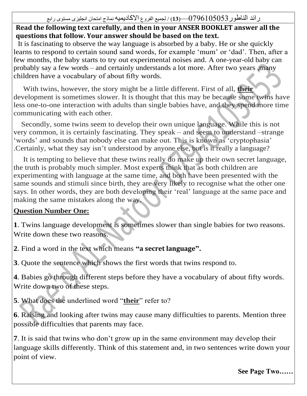#### رائد الناطور9505097970—)**31**( / لجميع الفروع االكاديميه نماذج امتحان انجليزى مستوى رابع

#### **Read the following text carefully, and then in your ANSER BOOKLET answer all the questions that follow. Your answer should be based on the text.**

 It is fascinating to observe the way language is absorbed by a baby. He or she quickly learns to respond to certain sound sand words, for example 'mum' or 'dad'. Then, after a few months, the baby starts to try out experimental noises and. A one-year-old baby can probably say a few words – and certainly understands a lot more. After two years ,many children have a vocabulary of about fifty words.

 With twins, however, the story might be a little different. First of all, **their** development is sometimes slower. It is thought that this may be because some twins have less one-to-one interaction with adults than single babies have, and they spend more time communicating with each other.

 Secondly, some twins seem to develop their own unique language. While this is not very common, it is certainly fascinating. They speak – and seem to understand –strange 'words' and sounds that nobody else can make out. This is known as 'cryptophasia' .Certainly, what they say isn't understood by anyone else, but is it really a language?

 It is tempting to believe that these twins really do make up their own secret language, the truth is probably much simpler. Most experts think that as both children are experimenting with language at the same time, and both have been presented with the same sounds and stimuli since birth, they are very likely to recognise what the other one says. In other words, they are both developing their 'real' language at the same pace and making the same mistakes along the way.

#### **Question Number One:**

**1**. Twins language development is sometimes slower than single babies for two reasons. Write down these two reasons.

**2**. Find a word in the text which means **"a secret language".**

**3**. Quote the sentence which shows the first words that twins respond to.

**4**. Babies go through different steps before they have a vocabulary of about fifty words. Write down two of these steps.

**5**. What does the underlined word "**their**" refer to?

**6**. Raising and looking after twins may cause many difficulties to parents. Mention three possible difficulties that parents may face.

**7**. It is said that twins who don't grow up in the same environment may develop their language skills differently. Think of this statement and, in two sentences write down your point of view.

**See Page Two……**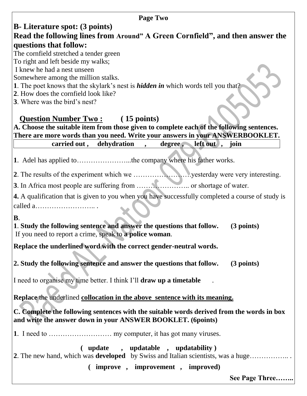# **B- Literature spot: (3 points)**

#### **Read the following lines from Around" A Green Cornfield", and then answer the questions that follow:**

The cornfield stretched a tender green

To right and left beside my walks;

I knew he had a nest unseen

Somewhere among the million stalks.

- **1**. The poet knows that the skylark's nest is *hidden in* which words tell you that?
- **2**. How does the cornfield look like?

**3**. Where was the bird's nest?

# **Question Number Two : ( 15 points)**

**A. Choose the suitable item from those given to complete each of the following sentences. There are more words than you need. Write your answers in your ANSWERBOOKLET. carried out , dehydration** , degree, left out , join

**1**. Adel has applied to…………………...the company where his father works.

**2**. The results of the experiment which we …………………….yesterday were very interesting.

**3**. In Africa most people are suffering from ………………….. or shortage of water.

**4.** A qualification that is given to you when you have successfully completed a course of study is called a…………………….. .

**B**.

**1**. **Study the following sentence and answer the questions that follow. (3 points)** If you need to report a crime, speak to **a police woman**.

**Replace the underlined word with the correct gender-neutral words.**

**2. Study the following sentence and answer the questions that follow. (3 points)**

I need to organise my time better. I think I'll **draw up a timetable** .

**Replace** the underlined **collocation in the above sentence with its meaning.**

**C. Complete the following sentences with the suitable words derived from the words in box and write the answer down in your ANSWER BOOKLET. (6points)**

**1**. I need to ……………………… my computer, it has got many viruses.

**( update , updatable , updatability ) 2**. The new hand, which was **developed** by Swiss and Italian scientists, was a huge…………….. . **( improve , improvement , improved)**

**See Page Three……..**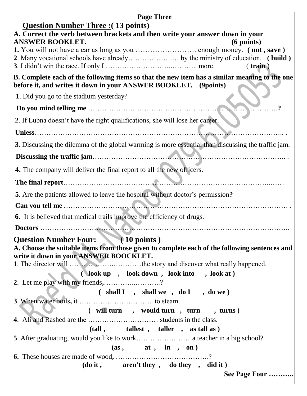| <b>Page Three</b>                                                                                                                                                |
|------------------------------------------------------------------------------------------------------------------------------------------------------------------|
| <u><b>Question Number Three : (13 points)</b></u>                                                                                                                |
| A. Correct the verb between brackets and then write your answer down in your<br><b>ANSWER BOOKLET.</b>                                                           |
| $(6$ points)                                                                                                                                                     |
|                                                                                                                                                                  |
| $($ train)                                                                                                                                                       |
| B. Complete each of the following items so that the new item has a similar meaning to the one<br>before it, and writes it down in your ANSWER BOOKLET. (9points) |
| 1. Did you go to the stadium yesterday?                                                                                                                          |
|                                                                                                                                                                  |
| 2. If Lubna doesn't have the right qualifications, she will lose her career.                                                                                     |
|                                                                                                                                                                  |
| 3. Discussing the dilemma of the global warming is more essential than discussing the traffic jam.                                                               |
|                                                                                                                                                                  |
| <b>4.</b> The company will deliver the final report to all the new officers.                                                                                     |
|                                                                                                                                                                  |
| 5. Are the patients allowed to leave the hospital without doctor's permission?                                                                                   |
|                                                                                                                                                                  |
| 6. It is believed that medical trails improve the efficiency of drugs.                                                                                           |
|                                                                                                                                                                  |
| Question Number Four: (10 points)                                                                                                                                |
| A. Choose the suitable items from those given to complete each of the following sentences and                                                                    |
| write it down in your ANSWER BOOCKLET.                                                                                                                           |
| (look up, look down, look into, look at)                                                                                                                         |
| 2. Let me play with my friends,?                                                                                                                                 |
| $($ shall I , shall we , do I , do we )                                                                                                                          |
|                                                                                                                                                                  |
| ( will turn , would turn , turn , turns )                                                                                                                        |
|                                                                                                                                                                  |
| (tall, tallest, taller, as tall as)                                                                                                                              |
|                                                                                                                                                                  |
| (as, at, in, on)                                                                                                                                                 |
|                                                                                                                                                                  |
| (do it, aren't they, do they, did it)                                                                                                                            |
| See Page Four                                                                                                                                                    |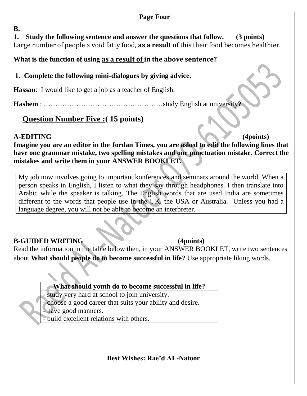#### **Page Four**

**B.** 

**1. Study the following sentence and answer the questions that follow. (3 points)** Large number of people a void fatty food, **as a result of** this their food becomes healthier.

**What is the function of using as a result of in the above sentence?**

**1. Complete the following mini-dialogues by giving advice.**

**Hassan**: I would like to get a job as a teacher of English.

**Hashem** : ……………………………………………study English at university**?**

**Question Number Five :( 15 points)**

#### **A-EDITING (4points)**

**Imagine you are an editor in the Jordan Times, you are asked to edit the following lines that have one grammar mistake, two spelling mistakes and one punctuation mistake. Correct the mistakes and write them in your ANSWER BOOKLET.**

My job now involves going to important konferences and seminars around the world. When a person speaks in English, I listen to what they say through headphones. I then translate into Arabic while the speaker is talking. The English words that are used India are sometimes different to the words that people use in the UK**.** the USA or Australia. Unless you had a language degree, you will not be able to become an interbreter.

#### **B-GUIDED WRITING (4points)**

Read the information in the table below then, in your ANSWER BOOKLET, write two sentences about **What should people do to become successful in life?** Use appropriate liking words.

**What should youth do to become successful in life?**

**-** study very hard at school to join university.

- choose a good career that suits your ability and desire.

- have good manners.

- build excellent relations with others.

**Best Wishes: Rae'd AL-Natoor**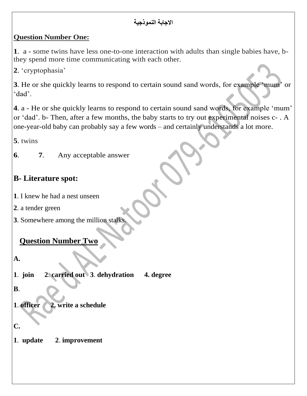#### **االجابة النموذجية**

#### **Question Number One:**

**1**. a - some twins have less one-to-one interaction with adults than single babies have, bthey spend more time communicating with each other.

**2**. 'cryptophasia'

**3**. He or she quickly learns to respond to certain sound sand words, for example 'mum' or 'dad'.

**4**. a - He or she quickly learns to respond to certain sound sand words, for example 'mum' or 'dad'. b- Then, after a few months, the baby starts to try out experimental noises c- . A one-year-old baby can probably say a few words – and certainly understands a lot more.

**5**. twins

**6**. **7**. Any acceptable answer

## **B- Literature spot:**

- **1**. I knew he had a nest unseen
- **2**. a tender green
- **3**. Somewhere among the million stalks.

### **Question Number Two**

**A.** 

**1**. **join 2**. **carried out 3**. **dehydration 4. degree**

**B**.

**1**. **officer 2. write a schedule**

# **C.**

**1**. **update 2**. **improvement**